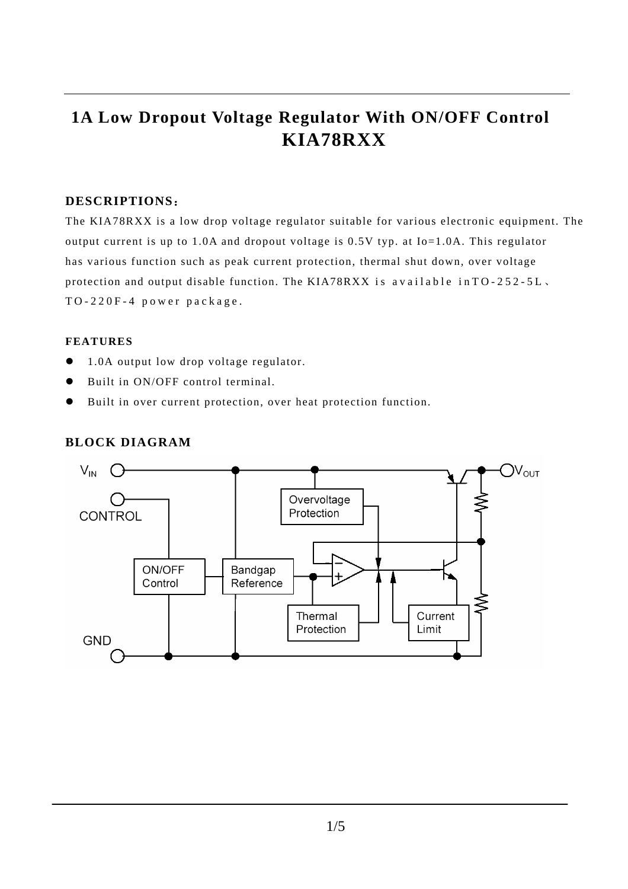## **1A Low Dropout Voltage Regulator With ON/OFF Control KIA78RXX**

### **DESCRIPTIONS**:

The KIA78RXX is a low drop voltage regulator suitable for various electronic equipment. The output current is up to 1.0A and dropout voltage is 0.5V typ. at Io=1.0A. This regulator has various function such as peak current protection, thermal shut down, over voltage protection and output disable function. The KIA78RXX is available in  $TO-252-5L$ . TO-220F-4 power package.

#### **FEATURES**

- $\bullet$  1.0A output low drop voltage regulator.
- Built in ON/OFF control terminal.
- $\bullet$  Built in over current protection, over heat protection function.

#### **BLOCK DIAGRAM**

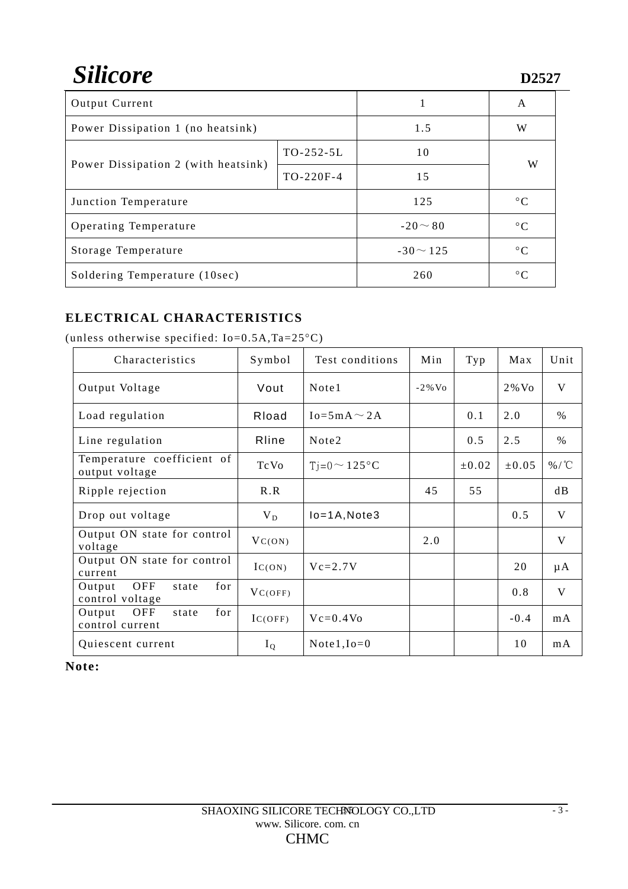# Silicore

| <b>Output Current</b>               |             | 1              | A              |  |
|-------------------------------------|-------------|----------------|----------------|--|
| Power Dissipation 1 (no heatsink)   |             | 1.5            | W              |  |
| Power Dissipation 2 (with heatsink) | $TO-252-5L$ | 10             | W              |  |
|                                     | $TO-220F-4$ | 15             |                |  |
| Junction Temperature                |             | 125            | $^{\circ}C$    |  |
| Operating Temperature               |             | $-20 \sim 80$  | $^{\circ}C$    |  |
| Storage Temperature                 |             | $-30 \sim 125$ | $\circ$ $\cap$ |  |
| Soldering Temperature (10sec)       |             | 260            | $^{\circ}C$    |  |

### **ELECTRICAL CHARACTERISTICS**

| Characteristics                                  | Symbol      | Test conditions     | Min       | Typ        | Max        | Unit         |
|--------------------------------------------------|-------------|---------------------|-----------|------------|------------|--------------|
| Output Voltage                                   | Vout        | Note1               | $-2\%$ Vo |            | $2\%$ Vo   | V            |
| Load regulation                                  | Rload       | $Io = 5mA \sim 2A$  |           | 0.1        | 2.0        | $\%$         |
| Line regulation                                  | Rline       | Note2               |           | 0.5        | 2.5        | $\%$         |
| Temperature coefficient of<br>output voltage     | <b>TcVo</b> | $T = 0 \sim 125$ °C |           | $\pm 0.02$ | $\pm 0.05$ | %/°C         |
| Ripple rejection                                 | R.R         |                     | 45        | 55         |            | dB           |
| Drop out voltage                                 | $V_D$       | $Io = 1A$ , Note3   |           |            | 0.5        | V            |
| Output ON state for control<br>voltage           | $V_{C(ON)}$ |                     | 2.0       |            |            | V            |
| Output ON state for control<br>current           | IC(ON)      | $Vc=2.7V$           |           |            | 20         | $\mu A$      |
| OFF<br>for<br>Output<br>state<br>control voltage | VC(OFF)     |                     |           |            | 0.8        | $\mathbf{V}$ |
| for<br>Output<br>OFF<br>state<br>control current | IC(OFF)     | $Vc=0.4V0$          |           |            | $-0.4$     | mA           |
| Quiescent current                                | $I_Q$       | Note $1$ , $Io=0$   |           |            | 10         | mA           |

(unless otherwise specified: Io=0.5A,Ta=25°C)

**Note:**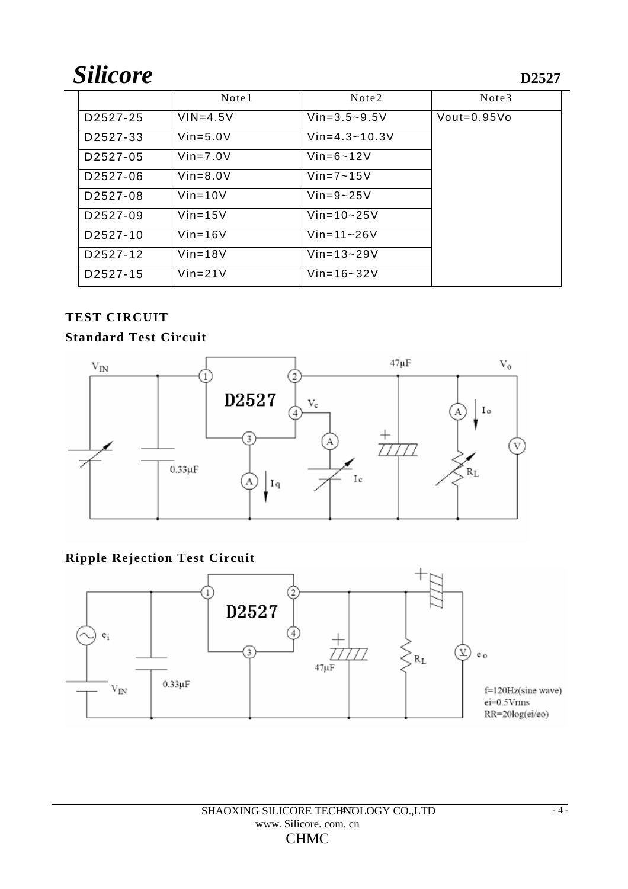# Silicore

|                       | Note1        | Note <sub>2</sub> | Note3         |
|-----------------------|--------------|-------------------|---------------|
| D <sub>2527</sub> -25 | $VIN = 4.5V$ | $Vin=3.5-9.5V$    | $Vout=0.95Vo$ |
| D2527-33              | $Vin=5.0V$   | $Vin=4.3-10.3V$   |               |
| D <sub>2527</sub> -05 | $Vin=7.0V$   | $Vin=6-12V$       |               |
| D <sub>2527</sub> -06 | $Vin=8.0V$   | $Vin=7-15V$       |               |
| D2527-08              | $Vin=10V$    | $Vin=9-25V$       |               |
| D <sub>2527</sub> -09 | $Vin=15V$    | $Vin=10-25V$      |               |
| D <sub>2527</sub> -10 | $Vin=16V$    | $Vin=11-26V$      |               |
| D <sub>2527</sub> -12 | $Vin=18V$    | $Vin=13-29V$      |               |
| D <sub>2527</sub> -15 | $Vin=21V$    | $Vin=16-32V$      |               |

## **TEST CIRCUIT**

## **Standard Test Circuit**



## **Ripple Rejection Test Circuit**

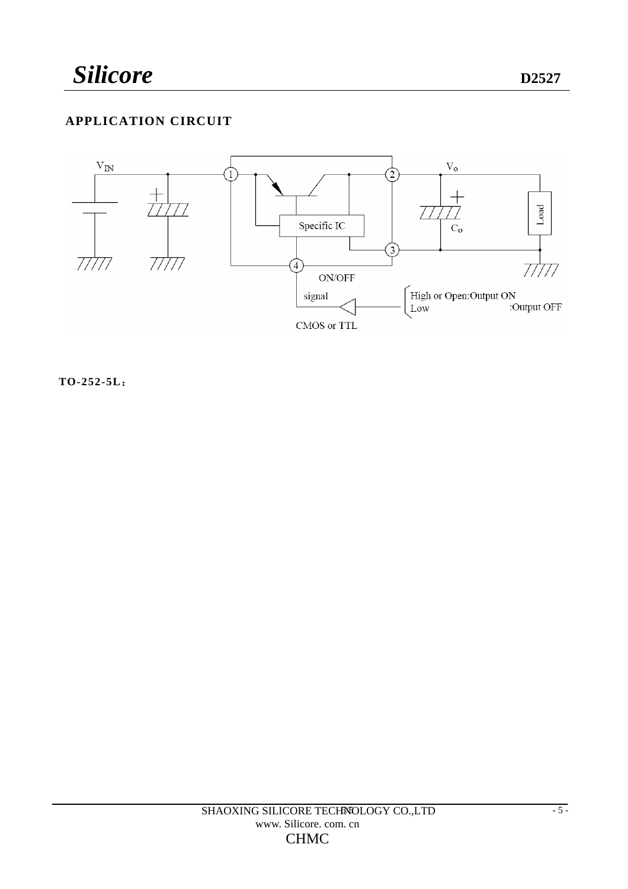## **APPLICATION CIRCUIT**



**TO-252-5L**: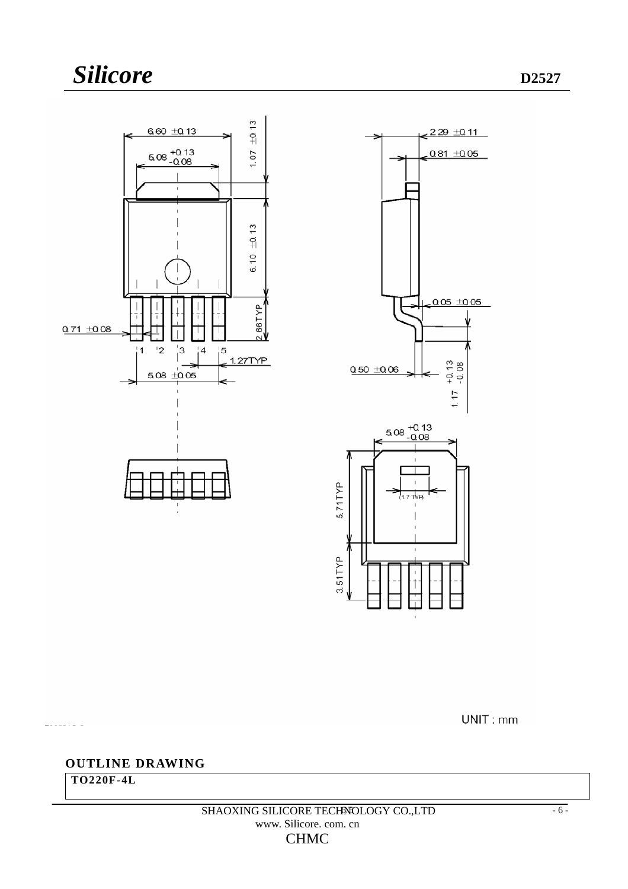

UNIT: mm

### **OUTLINE DRAWING**

**TO220F-4L** 

 $-2222222222$